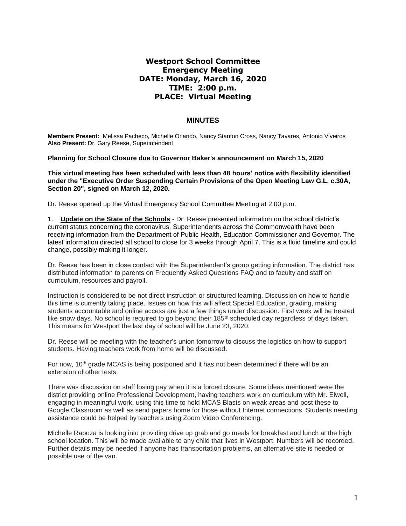## **Westport School Committee Emergency Meeting DATE: Monday, March 16, 2020 TIME: 2:00 p.m. PLACE: Virtual Meeting**

## **MINUTES**

**Members Present:** Melissa Pacheco*,* Michelle Orlando, Nancy Stanton Cross, Nancy Tavares*,* Antonio Viveiros **Also Present:** Dr. Gary Reese, Superintendent

**Planning for School Closure due to Governor Baker's announcement on March 15, 2020**

**This virtual meeting has been scheduled with less than 48 hours' notice with flexibility identified under the "Executive Order Suspending Certain Provisions of the Open Meeting Law G.L. c.30A, Section 20", signed on March 12, 2020.**

Dr. Reese opened up the Virtual Emergency School Committee Meeting at 2:00 p.m.

1. **Update on the State of the Schools** - Dr. Reese presented information on the school district's current status concerning the coronavirus. Superintendents across the Commonwealth have been receiving information from the Department of Public Health, Education Commissioner and Governor. The latest information directed all school to close for 3 weeks through April 7. This is a fluid timeline and could change, possibly making it longer.

Dr. Reese has been in close contact with the Superintendent's group getting information. The district has distributed information to parents on Frequently Asked Questions FAQ and to faculty and staff on curriculum, resources and payroll.

Instruction is considered to be not direct instruction or structured learning. Discussion on how to handle this time is currently taking place. Issues on how this will affect Special Education, grading, making students accountable and online access are just a few things under discussion. First week will be treated like snow days. No school is required to go beyond their 185<sup>th</sup> scheduled day regardless of days taken. This means for Westport the last day of school will be June 23, 2020.

Dr. Reese will be meeting with the teacher's union tomorrow to discuss the logistics on how to support students. Having teachers work from home will be discussed.

For now, 10<sup>th</sup> grade MCAS is being postponed and it has not been determined if there will be an extension of other tests.

There was discussion on staff losing pay when it is a forced closure. Some ideas mentioned were the district providing online Professional Development, having teachers work on curriculum with Mr. Elwell, engaging in meaningful work, using this time to hold MCAS Blasts on weak areas and post these to Google Classroom as well as send papers home for those without Internet connections. Students needing assistance could be helped by teachers using Zoom Video Conferencing.

Michelle Rapoza is looking into providing drive up grab and go meals for breakfast and lunch at the high school location. This will be made available to any child that lives in Westport. Numbers will be recorded. Further details may be needed if anyone has transportation problems, an alternative site is needed or possible use of the van.